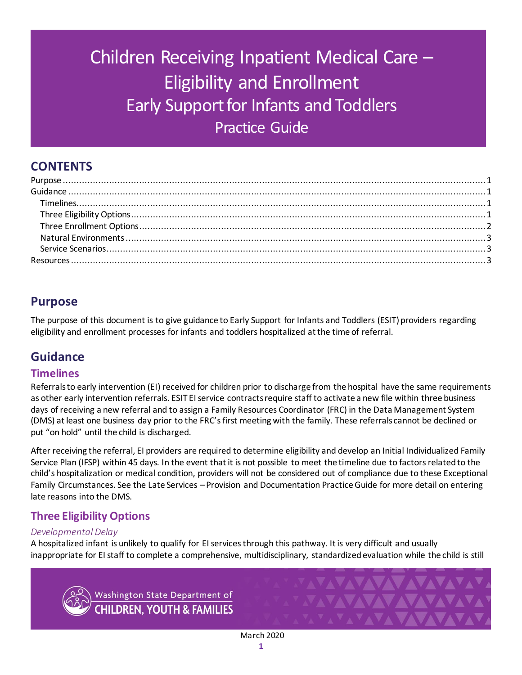# Children Receiving Inpatient Medical Care – Eligibility and Enrollment Early Support for Infants and Toddlers Practice Guide

# **CONTENTS**

# <span id="page-0-0"></span>**Purpose**

The purpose of this document is to give guidance to Early Support for Infants and Toddlers (ESIT) providers regarding eligibility and enrollment processes for infants and toddlers hospitalized at the time of referral.

# <span id="page-0-1"></span>**Guidance**

# <span id="page-0-2"></span>**Timelines**

Referrals to early intervention (EI) received for children prior to discharge from the hospital have the same requirements as other early intervention referrals. ESIT EI service contracts require staff to activate a new file within three business days of receiving a new referral and to assign a Family Resources Coordinator (FRC) in the Data Management System (DMS) at least one business day prior to the FRC's first meeting with the family. These referrals cannot be declined or put "on hold" until the child is discharged.

After receiving the referral, EI providers are required to determine eligibility and develop an Initial Individualized Family Service Plan (IFSP) within 45 days. In the event that it is not possible to meet the timeline due to factors related to the child's hospitalization or medical condition, providers will not be considered out of compliance due to these Exceptional Family Circumstances. See the Late Services – Provision and Documentation Practice Guide for more detail on entering late reasons into the DMS.

# <span id="page-0-3"></span>**Three Eligibility Options**

## *Developmental Delay*

A hospitalized infant is unlikely to qualify for EI services through this pathway. It is very difficult and usually inappropriate for EI staff to complete a comprehensive, multidisciplinary, standardized evaluation while the child is still



Washington State Department of **CHILDREN. YOUTH & FAMILIES**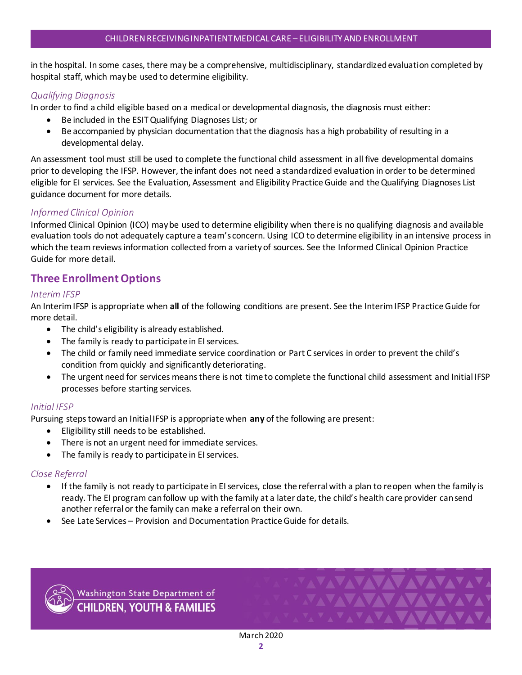in the hospital. In some cases, there may be a comprehensive, multidisciplinary, standardized evaluation completed by hospital staff, which may be used to determine eligibility.

#### *Qualifying Diagnosis*

In order to find a child eligible based on a medical or developmental diagnosis, the diagnosis must either:

- Be included in the ESIT Qualifying Diagnoses List; or
- Be accompanied by physician documentation that the diagnosis has a high probability of resulting in a developmental delay.

An assessment tool must still be used to complete the functional child assessment in all five developmental domains prior to developing the IFSP. However, the infant does not need a standardized evaluation in order to be determined eligible for EI services. See the Evaluation, Assessment and Eligibility Practice Guide and the Qualifying Diagnoses List guidance document for more details.

#### *Informed Clinical Opinion*

Informed Clinical Opinion (ICO) may be used to determine eligibility when there is no qualifying diagnosis and available evaluation tools do not adequately capture a team's concern. Using ICO to determine eligibility in an intensive process in which the team reviews information collected from a variety of sources. See the Informed Clinical Opinion Practice Guide for more detail.

## <span id="page-1-0"></span>**Three Enrollment Options**

#### *Interim IFSP*

An Interim IFSP is appropriate when **all** of the following conditions are present. See the Interim IFSP Practice Guide for more detail.

- The child's eligibility is already established.
- The family is ready to participate in EI services.
- The child or family need immediate service coordination or Part C services in order to prevent the child's condition from quickly and significantly deteriorating.
- The urgent need for services means there is not time to complete the functional child assessment and Initial IFSP processes before starting services.

#### *Initial IFSP*

Pursuing steps toward an Initial IFSP is appropriate when **any** of the following are present:

- Eligibility still needs to be established.
- There is not an urgent need for immediate services.
- The family is ready to participate in EI services.

#### *Close Referral*

- If the family is not ready to participate in EI services, close the referral with a plan to reopen when the family is ready. The EI program can follow up with the family at a later date, the child's health care provider can send another referral or the family can make a referral on their own.
- See Late Services Provision and Documentation Practice Guide for details.



Washington State Department of<br><mark>CHILDREN, YOUTH & FAMILIES</mark>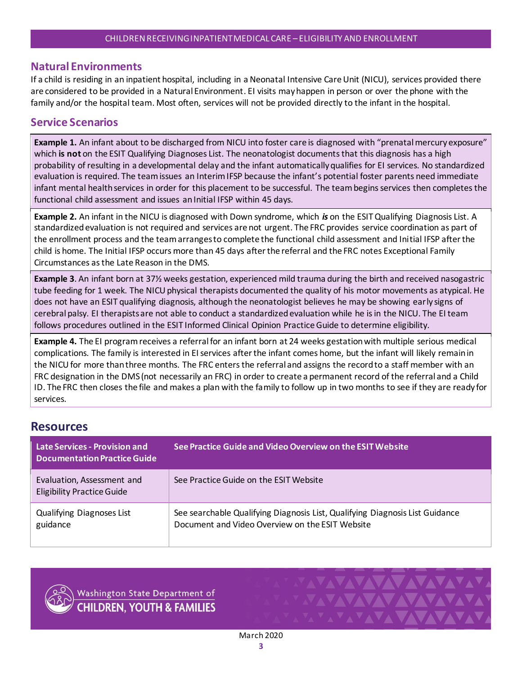## <span id="page-2-0"></span>**Natural Environments**

If a child is residing in an inpatient hospital, including in a Neonatal Intensive Care Unit (NICU), services provided there are considered to be provided in a Natural Environment. EI visits may happen in person or over the phone with the family and/or the hospital team. Most often, services will not be provided directly to the infant in the hospital.

## <span id="page-2-1"></span>**Service Scenarios**

**Example 1.** An infant about to be discharged from NICU into foster care is diagnosed with "prenatal mercury exposure" which **is not** on the ESIT Qualifying Diagnoses List. The neonatologist documents that this diagnosis has a high probability of resulting in a developmental delay and the infant automatically qualifies for EI services. No standardized evaluation is required. The team issues an Interim IFSP because the infant's potential foster parents need immediate infant mental health services in order for this placement to be successful. The team begins services then completes the functional child assessment and issues an Initial IFSP within 45 days.

**Example 2.** An infant in the NICU is diagnosed with Down syndrome, which *is* on the ESIT Qualifying Diagnosis List. A standardized evaluation is not required and services are not urgent. The FRC provides service coordination as part of the enrollment process and the team arranges to complete the functional child assessment and Initial IFSP after the child is home. The Initial IFSP occurs more than 45 days after the referral and the FRC notes Exceptional Family Circumstances as the Late Reason in the DMS.

**Example 3**. An infant born at 37½ weeks gestation, experienced mild trauma during the birth and received nasogastric tube feeding for 1 week. The NICU physical therapists documented the quality of his motor movements as atypical. He does not have an ESIT qualifying diagnosis, although the neonatologist believes he may be showing early signs of cerebral palsy. EI therapists are not able to conduct a standardized evaluation while he is in the NICU. The EI team follows procedures outlined in the ESIT Informed Clinical Opinion Practice Guide to determine eligibility.

**Example 4.** The EI program receives a referral for an infant born at 24 weeks gestation with multiple serious medical complications. The family is interested in EI services after the infant comes home, but the infant will likely remain in the NICU for more than three months. The FRC enters the referral and assigns the record to a staff member with an FRC designation in the DMS (not necessarily an FRC) in order to create a permanent record of the referral and a Child ID. The FRC then closes the file and makes a plan with the family to follow up in two months to see if they are ready for services.

# <span id="page-2-2"></span>**Resources**

| Late Services - Provision and<br><b>Documentation Practice Guide</b> | See Practice Guide and Video Overview on the ESIT Website                                                                       |
|----------------------------------------------------------------------|---------------------------------------------------------------------------------------------------------------------------------|
| Evaluation, Assessment and<br><b>Eligibility Practice Guide</b>      | See Practice Guide on the ESIT Website                                                                                          |
| <b>Qualifying Diagnoses List</b><br>guidance                         | See searchable Qualifying Diagnosis List, Qualifying Diagnosis List Guidance<br>Document and Video Overview on the ESIT Website |



Washington State Department of **CHILDREN, YOUTH & FAMILIES**